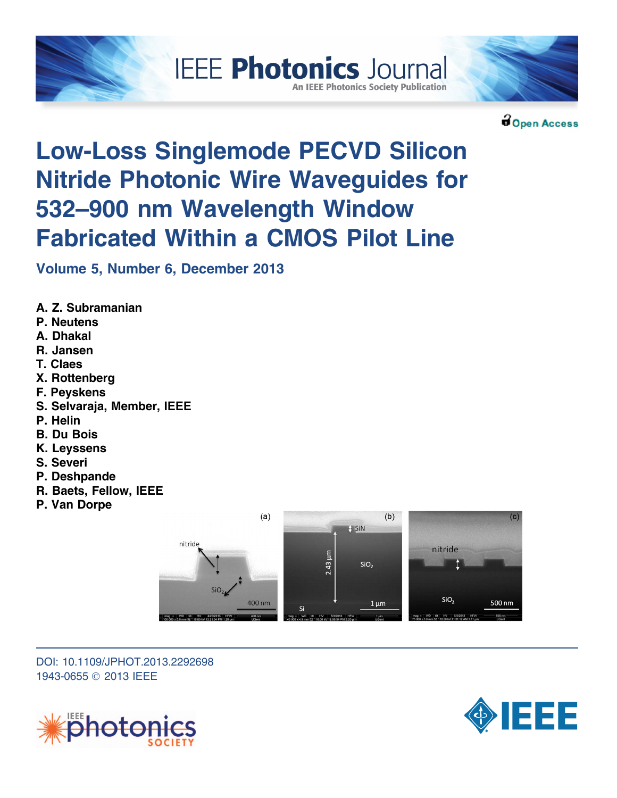



Open Access

# Low-Loss Singlemode PECVD Silicon Nitride Photonic Wire Waveguides for 532–900 nm Wavelength Window Fabricated Within a CMOS Pilot Line

**IEEE Photonics Journal** 

**An IEEE Photonics Society Publication** 

Volume 5, Number 6, December 2013

- A. Z. Subramanian
- P. Neutens
- A. Dhakal
- R. Jansen
- T. Claes
- X. Rottenberg
- F. Peyskens
- S. Selvaraja, Member, IEEE
- P. Helin
- B. Du Bois
- K. Leyssens
- S. Severi
- P. Deshpande
- R. Baets, Fellow, IEEE
- P. Van Dorpe



DOI: 10.1109/JPHOT.2013.2292698 1943-0655 © 2013 IEEE



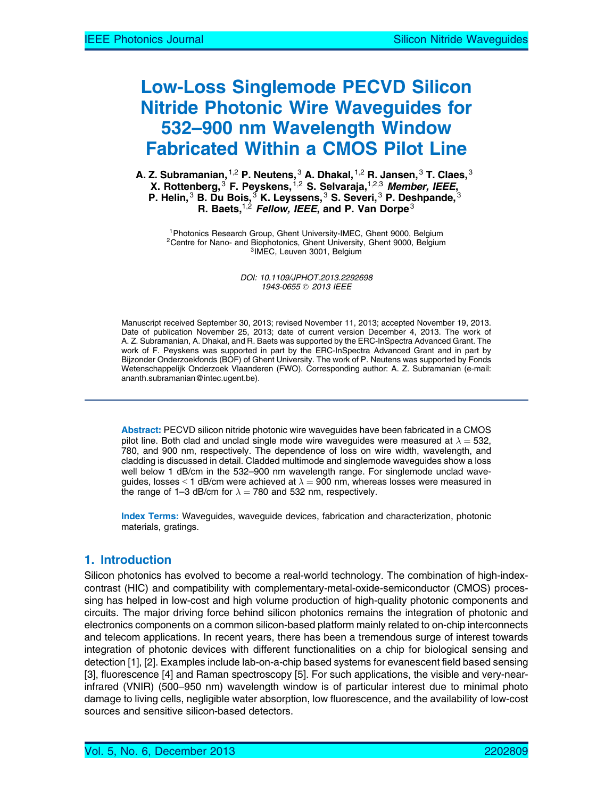# Low-Loss Singlemode PECVD Silicon Nitride Photonic Wire Waveguides for 532–900 nm Wavelength Window Fabricated Within a CMOS Pilot Line

A. Z. Subramanian, $^{\rm 1,2}$  P. Neutens, $^{\rm 3}$  A. Dhakal, $^{\rm 1,2}$  R. Jansen, $^{\rm 3}$  T. Claes, $^{\rm 3}$ X. Rottenberg,<sup>3</sup> F. Peyskens,<sup>1,2</sup> S. Selvaraja,<sup>1,2,3</sup> Member, IEEE, P. Helin, $^3$  B. Du Bois, $^3$  K. Leyssens, $^3$  S. Severi, $^3$  P. Deshpande, $^3$ R. Baets,  $1,2$  Fellow, IEEE, and P. Van Dorpe<sup>3</sup>

<sup>1</sup>Photonics Research Group, Ghent University-IMEC, Ghent 9000, Belgium <sup>2</sup>Centre for Nano- and Biophotonics, Ghent University, Ghent 9000, Belgium  $31$ MEC, Leuven 3001, Belgium

DOI: 10.1109/JPHOT.2013.2292698 1943-0655 © 2013 IEEE

Manuscript received September 30, 2013; revised November 11, 2013; accepted November 19, 2013. Date of publication November 25, 2013; date of current version December 4, 2013. The work of A. Z. Subramanian, A. Dhakal, and R. Baets was supported by the ERC-InSpectra Advanced Grant. The work of F. Peyskens was supported in part by the ERC-InSpectra Advanced Grant and in part by Bijzonder Onderzoekfonds (BOF) of Ghent University. The work of P. Neutens was supported by Fonds Wetenschappelijk Onderzoek Vlaanderen (FWO). Corresponding author: A. Z. Subramanian (e-mail: [ananth.subramanian@intec.ugent.be](mailto:ananth.subramanian@intec.ugent.be)).

Abstract: PECVD silicon nitride photonic wire waveguides have been fabricated in a CMOS pilot line. Both clad and unclad single mode wire waveguides were measured at  $\lambda = 532$ , 780, and 900 nm, respectively. The dependence of loss on wire width, wavelength, and cladding is discussed in detail. Cladded multimode and singlemode waveguides show a loss well below 1 dB/cm in the 532-900 nm wavelength range. For singlemode unclad waveguides, losses < 1 dB/cm were achieved at  $\lambda=$  900 nm, whereas losses were measured in the range of 1–3 dB/cm for  $\lambda = 780$  and 532 nm, respectively.

Index Terms: Waveguides, waveguide devices, fabrication and characterization, photonic materials, gratings.

# 1. Introduction

Silicon photonics has evolved to become a real-world technology. The combination of high-indexcontrast (HIC) and compatibility with complementary-metal-oxide-semiconductor (CMOS) processing has helped in low-cost and high volume production of high-quality photonic components and circuits. The major driving force behind silicon photonics remains the integration of photonic and electronics components on a common silicon-based platform mainly related to on-chip interconnects and telecom applications. In recent years, there has been a tremendous surge of interest towards integration of photonic devices with different functionalities on a chip for biological sensing and detection [1], [2]. Examples include lab-on-a-chip based systems for evanescent field based sensing [3], fluorescence [4] and Raman spectroscopy [5]. For such applications, the visible and very-nearinfrared (VNIR) (500–950 nm) wavelength window is of particular interest due to minimal photo damage to living cells, negligible water absorption, low fluorescence, and the availability of low-cost sources and sensitive silicon-based detectors.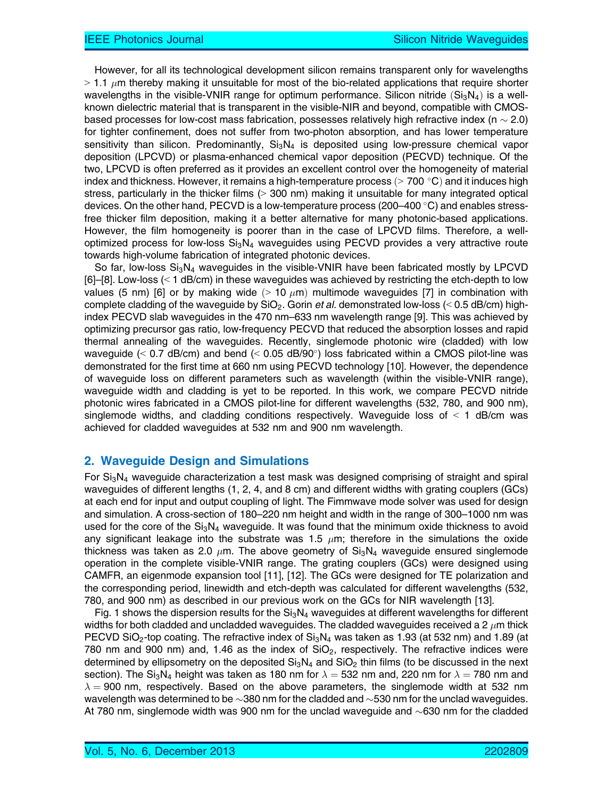However, for all its technological development silicon remains transparent only for wavelengths  $>1.1$   $\mu$ m thereby making it unsuitable for most of the bio-related applications that require shorter wavelengths in the visible-VNIR range for optimum performance. Silicon nitride  $(Si<sub>3</sub>N<sub>4</sub>)$  is a wellknown dielectric material that is transparent in the visible-NIR and beyond, compatible with CMOSbased processes for low-cost mass fabrication, possesses relatively high refractive index (n  $\sim$  2.0) for tighter confinement, does not suffer from two-photon absorption, and has lower temperature sensitivity than silicon. Predominantly,  $Si<sub>3</sub>N<sub>4</sub>$  is deposited using low-pressure chemical vapor deposition (LPCVD) or plasma-enhanced chemical vapor deposition (PECVD) technique. Of the two, LPCVD is often preferred as it provides an excellent control over the homogeneity of material index and thickness. However, it remains a high-temperature process ( $> 700$  °C) and it induces high stress, particularly in the thicker films  $(> 300 \text{ nm})$  making it unsuitable for many integrated optical devices. On the other hand, PECVD is a low-temperature process (200–400  $\degree$ C) and enables stressfree thicker film deposition, making it a better alternative for many photonic-based applications. However, the film homogeneity is poorer than in the case of LPCVD films. Therefore, a welloptimized process for low-loss  $Si<sub>3</sub>N<sub>4</sub>$  waveguides using PECVD provides a very attractive route towards high-volume fabrication of integrated photonic devices.

So far, low-loss  $Si<sub>3</sub>N<sub>4</sub>$  waveguides in the visible-VNIR have been fabricated mostly by LPCVD  $[6]$ –[8]. Low-loss (< 1 dB/cm) in these waveguides was achieved by restricting the etch-depth to low values (5 nm) [6] or by making wide  $(> 10 \ \mu m)$  multimode waveguides [7] in combination with complete cladding of the waveguide by  $SiO<sub>2</sub>$ . Gorin *et al.* demonstrated low-loss ( $< 0.5$  dB/cm) highindex PECVD slab waveguides in the 470 nm–633 nm wavelength range [9]. This was achieved by optimizing precursor gas ratio, low-frequency PECVD that reduced the absorption losses and rapid thermal annealing of the waveguides. Recently, singlemode photonic wire (cladded) with low waveguide ( $\leq$  0.7 dB/cm) and bend ( $\leq$  0.05 dB/90 $\degree$ ) loss fabricated within a CMOS pilot-line was demonstrated for the first time at 660 nm using PECVD technology [10]. However, the dependence of waveguide loss on different parameters such as wavelength (within the visible-VNIR range), waveguide width and cladding is yet to be reported. In this work, we compare PECVD nitride photonic wires fabricated in a CMOS pilot-line for different wavelengths (532, 780, and 900 nm), singlemode widths, and cladding conditions respectively. Waveguide loss of  $\leq 1$  dB/cm was achieved for cladded waveguides at 532 nm and 900 nm wavelength.

## 2. Waveguide Design and Simulations

For  $Si<sub>3</sub>N<sub>4</sub>$  waveguide characterization a test mask was designed comprising of straight and spiral waveguides of different lengths (1, 2, 4, and 8 cm) and different widths with grating couplers (GCs) at each end for input and output coupling of light. The Fimmwave mode solver was used for design and simulation. A cross-section of 180–220 nm height and width in the range of 300–1000 nm was used for the core of the  $Si<sub>3</sub>N<sub>4</sub>$  waveguide. It was found that the minimum oxide thickness to avoid any significant leakage into the substrate was 1.5  $\mu$ m; therefore in the simulations the oxide thickness was taken as 2.0  $\mu$ m. The above geometry of Si<sub>3</sub>N<sub>4</sub> waveguide ensured singlemode operation in the complete visible-VNIR range. The grating couplers (GCs) were designed using CAMFR, an eigenmode expansion tool [11], [12]. The GCs were designed for TE polarization and the corresponding period, linewidth and etch-depth was calculated for different wavelengths (532, 780, and 900 nm) as described in our previous work on the GCs for NIR wavelength [13].

Fig. 1 shows the dispersion results for the  $Si<sub>3</sub>N<sub>4</sub>$  waveguides at different wavelengths for different widths for both cladded and uncladded waveguides. The cladded waveguides received a 2  $\mu$ m thick PECVD SiO<sub>2</sub>-top coating. The refractive index of  $Si<sub>3</sub>N<sub>4</sub>$  was taken as 1.93 (at 532 nm) and 1.89 (at 780 nm and 900 nm) and, 1.46 as the index of  $SiO<sub>2</sub>$ , respectively. The refractive indices were determined by ellipsometry on the deposited  $Si<sub>3</sub>N<sub>4</sub>$  and  $Si<sub>2</sub>$  thin films (to be discussed in the next section). The  ${\rm Si_3N_4}$  height was taken as 180 nm for  $\lambda=$  532 nm and, 220 nm for  $\lambda=$  780 nm and  $\lambda =$  900 nm, respectively. Based on the above parameters, the singlemode width at 532 nm wavelength was determined to be  $\sim$ 380 nm for the cladded and  $\sim$ 530 nm for the unclad waveguides. At 780 nm, singlemode width was 900 nm for the unclad waveguide and  $\sim$ 630 nm for the cladded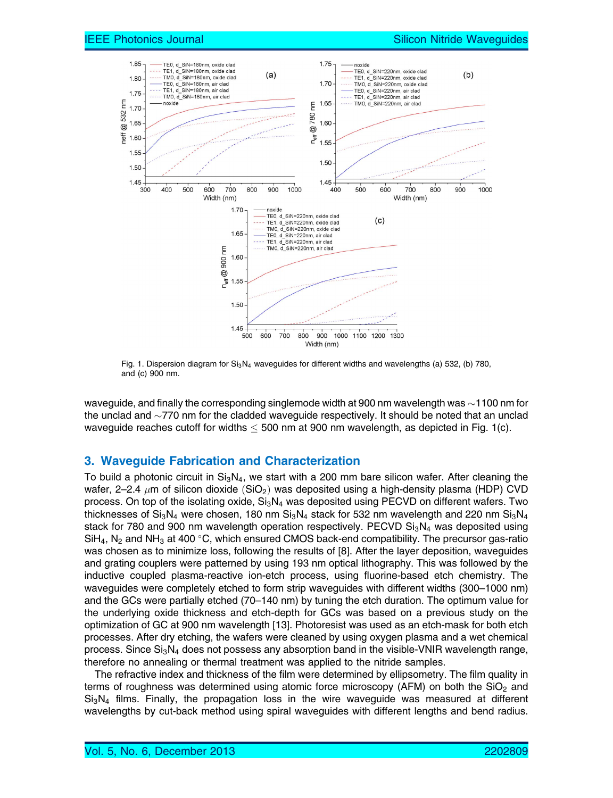

Fig. 1. Dispersion diagram for  $Si<sub>3</sub>N<sub>4</sub>$  waveguides for different widths and wavelengths (a) 532, (b) 780, and (c) 900 nm.

waveguide, and finally the corresponding singlemode width at 900 nm wavelength was  $\sim$ 1100 nm for the unclad and  $\sim$ 770 nm for the cladded waveguide respectively. It should be noted that an unclad waveguide reaches cutoff for widths  $<$  500 nm at 900 nm wavelength, as depicted in Fig. 1(c).

## 3. Waveguide Fabrication and Characterization

To build a photonic circuit in  $Si<sub>3</sub>N<sub>4</sub>$ , we start with a 200 mm bare silicon wafer. After cleaning the wafer, 2–2.4  $\mu$ m of silicon dioxide (SiO<sub>2</sub>) was deposited using a high-density plasma (HDP) CVD process. On top of the isolating oxide,  $Si<sub>3</sub>N<sub>4</sub>$  was deposited using PECVD on different wafers. Two thicknesses of Si<sub>3</sub>N<sub>4</sub> were chosen, 180 nm Si<sub>3</sub>N<sub>4</sub> stack for 532 nm wavelength and 220 nm Si<sub>3</sub>N<sub>4</sub> stack for 780 and 900 nm wavelength operation respectively. PECVD  $Si<sub>3</sub>N<sub>4</sub>$  was deposited using  $\text{SiH}_4$ , N<sub>2</sub> and NH<sub>3</sub> at 400 °C, which ensured CMOS back-end compatibility. The precursor gas-ratio was chosen as to minimize loss, following the results of [8]. After the layer deposition, waveguides and grating couplers were patterned by using 193 nm optical lithography. This was followed by the inductive coupled plasma-reactive ion-etch process, using fluorine-based etch chemistry. The waveguides were completely etched to form strip waveguides with different widths (300–1000 nm) and the GCs were partially etched (70–140 nm) by tuning the etch duration. The optimum value for the underlying oxide thickness and etch-depth for GCs was based on a previous study on the optimization of GC at 900 nm wavelength [13]. Photoresist was used as an etch-mask for both etch processes. After dry etching, the wafers were cleaned by using oxygen plasma and a wet chemical process. Since  $Si<sub>3</sub>N<sub>4</sub>$  does not possess any absorption band in the visible-VNIR wavelength range, therefore no annealing or thermal treatment was applied to the nitride samples.

The refractive index and thickness of the film were determined by ellipsometry. The film quality in terms of roughness was determined using atomic force microscopy (AFM) on both the  $SiO<sub>2</sub>$  and  $Si<sub>3</sub>N<sub>4</sub>$  films. Finally, the propagation loss in the wire waveguide was measured at different wavelengths by cut-back method using spiral waveguides with different lengths and bend radius.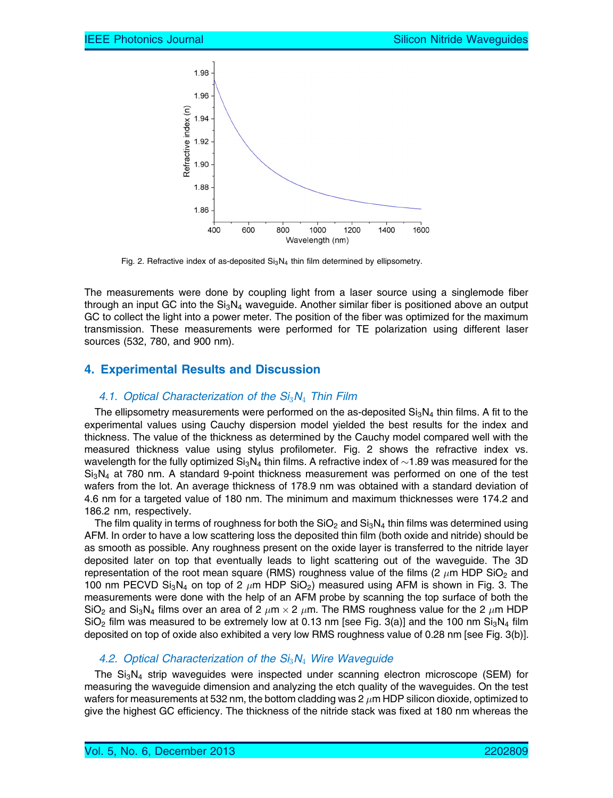

Fig. 2. Refractive index of as-deposited  $Si<sub>3</sub>N<sub>4</sub>$  thin film determined by ellipsometry.

The measurements were done by coupling light from a laser source using a singlemode fiber through an input GC into the  $Si<sub>3</sub>N<sub>4</sub>$  waveguide. Another similar fiber is positioned above an output GC to collect the light into a power meter. The position of the fiber was optimized for the maximum transmission. These measurements were performed for TE polarization using different laser sources (532, 780, and 900 nm).

# 4. Experimental Results and Discussion

#### 4.1. Optical Characterization of the  $Si<sub>3</sub>N<sub>4</sub>$  Thin Film

The ellipsometry measurements were performed on the as-deposited  $Si<sub>3</sub>N<sub>4</sub>$  thin films. A fit to the experimental values using Cauchy dispersion model yielded the best results for the index and thickness. The value of the thickness as determined by the Cauchy model compared well with the measured thickness value using stylus profilometer. Fig. 2 shows the refractive index vs. wavelength for the fully optimized  $\mathrm{Si}_3\mathrm{N}_4$  thin films. A refractive index of  ${\sim}1.89$  was measured for the  $Si<sub>3</sub>N<sub>4</sub>$  at 780 nm. A standard 9-point thickness measurement was performed on one of the test wafers from the lot. An average thickness of 178.9 nm was obtained with a standard deviation of 4.6 nm for a targeted value of 180 nm. The minimum and maximum thicknesses were 174.2 and 186.2 nm, respectively.

The film quality in terms of roughness for both the  $SiO<sub>2</sub>$  and  $Si<sub>3</sub>N<sub>4</sub>$  thin films was determined using AFM. In order to have a low scattering loss the deposited thin film (both oxide and nitride) should be as smooth as possible. Any roughness present on the oxide layer is transferred to the nitride layer deposited later on top that eventually leads to light scattering out of the waveguide. The 3D representation of the root mean square (RMS) roughness value of the films (2  $\mu$ m HDP SiO<sub>2</sub> and 100 nm PECVD  $Si_3N_4$  on top of 2  $\mu$ m HDP SiO<sub>2</sub>) measured using AFM is shown in Fig. 3. The measurements were done with the help of an AFM probe by scanning the top surface of both the SiO<sub>2</sub> and Si<sub>3</sub>N<sub>4</sub> films over an area of 2  $\mu$ m × 2  $\mu$ m. The RMS roughness value for the 2  $\mu$ m HDP  $SiO<sub>2</sub>$  film was measured to be extremely low at 0.13 nm [see Fig. 3(a)] and the 100 nm  $Si<sub>3</sub>N<sub>4</sub>$  film deposited on top of oxide also exhibited a very low RMS roughness value of 0.28 nm [see Fig. 3(b)].

#### 4.2. Optical Characterization of the  $Si<sub>3</sub>N<sub>4</sub>$  Wire Waveguide

The  $Si<sub>3</sub>N<sub>4</sub>$  strip waveguides were inspected under scanning electron microscope (SEM) for measuring the waveguide dimension and analyzing the etch quality of the waveguides. On the test wafers for measurements at 532 nm, the bottom cladding was  $2 \mu m$  HDP silicon dioxide, optimized to give the highest GC efficiency. The thickness of the nitride stack was fixed at 180 nm whereas the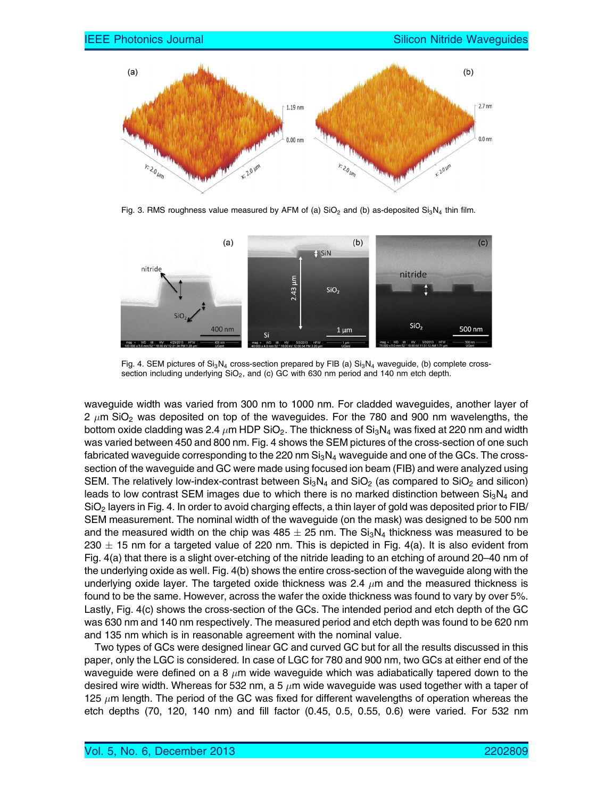

Fig. 3. RMS roughness value measured by AFM of (a)  $SiO<sub>2</sub>$  and (b) as-deposited  $Si<sub>3</sub>N<sub>4</sub>$  thin film.



Fig. 4. SEM pictures of  $Si<sub>3</sub>N<sub>4</sub>$  cross-section prepared by FIB (a)  $Si<sub>3</sub>N<sub>4</sub>$  waveguide, (b) complete crosssection including underlying  $SiO<sub>2</sub>$ , and (c) GC with 630 nm period and 140 nm etch depth.

waveguide width was varied from 300 nm to 1000 nm. For cladded waveguides, another layer of 2  $\mu$ m SiO<sub>2</sub> was deposited on top of the waveguides. For the 780 and 900 nm wavelengths, the bottom oxide cladding was 2.4  $\mu$ m HDP SiO<sub>2</sub>. The thickness of Si<sub>3</sub>N<sub>4</sub> was fixed at 220 nm and width was varied between 450 and 800 nm. Fig. 4 shows the SEM pictures of the cross-section of one such fabricated waveguide corresponding to the 220 nm  $Si<sub>3</sub>N<sub>4</sub>$  waveguide and one of the GCs. The crosssection of the waveguide and GC were made using focused ion beam (FIB) and were analyzed using SEM. The relatively low-index-contrast between  $Si<sub>3</sub>N<sub>4</sub>$  and  $SiO<sub>2</sub>$  (as compared to  $SiO<sub>2</sub>$  and silicon) leads to low contrast SEM images due to which there is no marked distinction between  $Si<sub>3</sub>N<sub>4</sub>$  and SiO<sub>2</sub> layers in Fig. 4. In order to avoid charging effects, a thin layer of gold was deposited prior to FIB/ SEM measurement. The nominal width of the waveguide (on the mask) was designed to be 500 nm and the measured width on the chip was  $485 \pm 25$  nm. The Si<sub>3</sub>N<sub>4</sub> thickness was measured to be 230  $\pm$  15 nm for a targeted value of 220 nm. This is depicted in Fig. 4(a). It is also evident from Fig. 4(a) that there is a slight over-etching of the nitride leading to an etching of around 20–40 nm of the underlying oxide as well. Fig. 4(b) shows the entire cross-section of the waveguide along with the underlying oxide layer. The targeted oxide thickness was 2.4  $\mu$ m and the measured thickness is found to be the same. However, across the wafer the oxide thickness was found to vary by over 5%. Lastly, Fig. 4(c) shows the cross-section of the GCs. The intended period and etch depth of the GC was 630 nm and 140 nm respectively. The measured period and etch depth was found to be 620 nm and 135 nm which is in reasonable agreement with the nominal value.

Two types of GCs were designed linear GC and curved GC but for all the results discussed in this paper, only the LGC is considered. In case of LGC for 780 and 900 nm, two GCs at either end of the waveguide were defined on a 8  $\mu$ m wide waveguide which was adiabatically tapered down to the desired wire width. Whereas for 532 nm, a 5  $\mu$ m wide waveguide was used together with a taper of 125  $\mu$ m length. The period of the GC was fixed for different wavelengths of operation whereas the etch depths (70, 120, 140 nm) and fill factor (0.45, 0.5, 0.55, 0.6) were varied. For 532 nm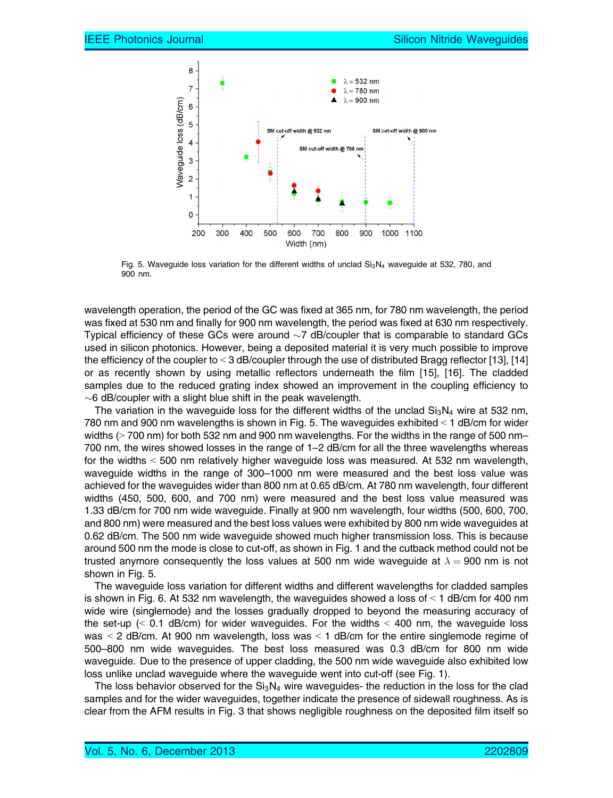

Fig. 5. Waveguide loss variation for the different widths of unclad Si<sub>3</sub>N<sub>4</sub> waveguide at 532, 780, and 900 nm.

wavelength operation, the period of the GC was fixed at 365 nm, for 780 nm wavelength, the period was fixed at 530 nm and finally for 900 nm wavelength, the period was fixed at 630 nm respectively. Typical efficiency of these GCs were around  ${\sim}7$  dB/coupler that is comparable to standard GCs used in silicon photonics. However, being a deposited material it is very much possible to improve the efficiency of the coupler to < 3 dB/coupler through the use of distributed Bragg reflector [13], [14] or as recently shown by using metallic reflectors underneath the film [15], [16]. The cladded samples due to the reduced grating index showed an improvement in the coupling efficiency to  $\sim$ 6 dB/coupler with a slight blue shift in the peak wavelength.

The variation in the waveguide loss for the different widths of the unclad  $Si<sub>3</sub>N<sub>4</sub>$  wire at 532 nm, 780 nm and 900 nm wavelengths is shown in Fig. 5. The waveguides exhibited  $<$  1 dB/cm for wider widths ( $>$  700 nm) for both 532 nm and 900 nm wavelengths. For the widths in the range of 500 nm– 700 nm, the wires showed losses in the range of 1–2 dB/cm for all the three wavelengths whereas for the widths  $<$  500 nm relatively higher waveguide loss was measured. At 532 nm wavelength, waveguide widths in the range of 300–1000 nm were measured and the best loss value was achieved for the waveguides wider than 800 nm at 0.65 dB/cm. At 780 nm wavelength, four different widths (450, 500, 600, and 700 nm) were measured and the best loss value measured was 1.33 dB/cm for 700 nm wide waveguide. Finally at 900 nm wavelength, four widths (500, 600, 700, and 800 nm) were measured and the best loss values were exhibited by 800 nm wide waveguides at 0.62 dB/cm. The 500 nm wide waveguide showed much higher transmission loss. This is because around 500 nm the mode is close to cut-off, as shown in Fig. 1 and the cutback method could not be trusted anymore consequently the loss values at 500 nm wide waveguide at  $\lambda=$  900 nm is not shown in Fig. 5.

The waveguide loss variation for different widths and different wavelengths for cladded samples is shown in Fig. 6. At 532 nm wavelength, the waveguides showed a loss of  $\leq 1$  dB/cm for 400 nm wide wire (singlemode) and the losses gradually dropped to beyond the measuring accuracy of the set-up  $\ll$  0.1 dB/cm) for wider waveguides. For the widths  $\lt$  400 nm, the waveguide loss was  $\leq$  2 dB/cm. At 900 nm wavelength, loss was  $\leq$  1 dB/cm for the entire singlemode regime of 500–800 nm wide waveguides. The best loss measured was 0.3 dB/cm for 800 nm wide waveguide. Due to the presence of upper cladding, the 500 nm wide waveguide also exhibited low loss unlike unclad waveguide where the waveguide went into cut-off (see Fig. 1).

The loss behavior observed for the  $Si<sub>3</sub>N<sub>4</sub>$  wire waveguides- the reduction in the loss for the clad samples and for the wider waveguides, together indicate the presence of sidewall roughness. As is clear from the AFM results in Fig. 3 that shows negligible roughness on the deposited film itself so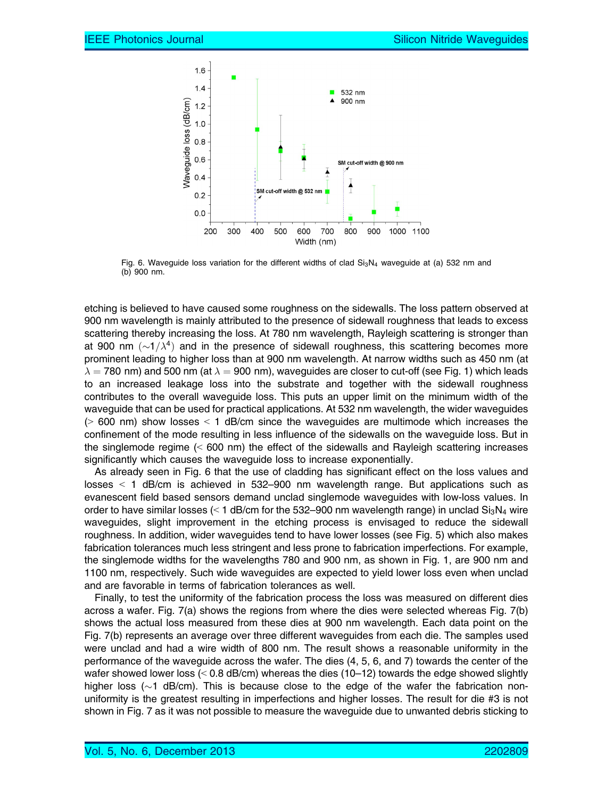

Fig. 6. Waveguide loss variation for the different widths of clad  $Si<sub>3</sub>N<sub>4</sub>$  waveguide at (a) 532 nm and (b) 900 nm.

etching is believed to have caused some roughness on the sidewalls. The loss pattern observed at 900 nm wavelength is mainly attributed to the presence of sidewall roughness that leads to excess scattering thereby increasing the loss. At 780 nm wavelength, Rayleigh scattering is stronger than at 900 nm  $({\sim}1/\lambda^4)$  and in the presence of sidewall roughness, this scattering becomes more prominent leading to higher loss than at 900 nm wavelength. At narrow widths such as 450 nm (at  $\lambda=$  780 nm) and 500 nm (at  $\lambda=$  900 nm), waveguides are closer to cut-off (see Fig. 1) which leads to an increased leakage loss into the substrate and together with the sidewall roughness contributes to the overall waveguide loss. This puts an upper limit on the minimum width of the waveguide that can be used for practical applications. At 532 nm wavelength, the wider waveguides  $(9.600 \text{ nm})$  show losses  $\leq 1$  dB/cm since the waveguides are multimode which increases the confinement of the mode resulting in less influence of the sidewalls on the waveguide loss. But in the singlemode regime  $(< 600 \text{ nm})$  the effect of the sidewalls and Rayleigh scattering increases significantly which causes the waveguide loss to increase exponentially.

As already seen in Fig. 6 that the use of cladding has significant effect on the loss values and losses  $\leq$  1 dB/cm is achieved in 532–900 nm wavelength range. But applications such as evanescent field based sensors demand unclad singlemode waveguides with low-loss values. In order to have similar losses ( $\leq 1$  dB/cm for the 532–900 nm wavelength range) in unclad  $\text{Si}_3\text{N}_4$  wire waveguides, slight improvement in the etching process is envisaged to reduce the sidewall roughness. In addition, wider waveguides tend to have lower losses (see Fig. 5) which also makes fabrication tolerances much less stringent and less prone to fabrication imperfections. For example, the singlemode widths for the wavelengths 780 and 900 nm, as shown in Fig. 1, are 900 nm and 1100 nm, respectively. Such wide waveguides are expected to yield lower loss even when unclad and are favorable in terms of fabrication tolerances as well.

Finally, to test the uniformity of the fabrication process the loss was measured on different dies across a wafer. Fig. 7(a) shows the regions from where the dies were selected whereas Fig. 7(b) shows the actual loss measured from these dies at 900 nm wavelength. Each data point on the Fig. 7(b) represents an average over three different waveguides from each die. The samples used were unclad and had a wire width of 800 nm. The result shows a reasonable uniformity in the performance of the waveguide across the wafer. The dies (4, 5, 6, and 7) towards the center of the wafer showed lower loss ( $<$  0.8 dB/cm) whereas the dies (10–12) towards the edge showed slightly higher loss (~1 dB/cm). This is because close to the edge of the wafer the fabrication nonuniformity is the greatest resulting in imperfections and higher losses. The result for die #3 is not shown in Fig. 7 as it was not possible to measure the waveguide due to unwanted debris sticking to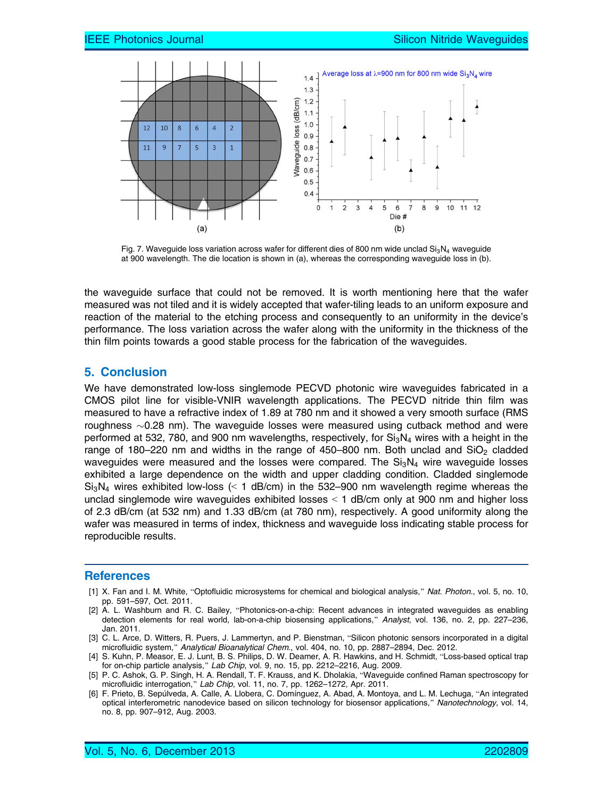

Fig. 7. Waveguide loss variation across wafer for different dies of 800 nm wide unclad  $Si<sub>3</sub>N<sub>4</sub>$  waveguide at 900 wavelength. The die location is shown in (a), whereas the corresponding waveguide loss in (b).

the waveguide surface that could not be removed. It is worth mentioning here that the wafer measured was not tiled and it is widely accepted that wafer-tiling leads to an uniform exposure and reaction of the material to the etching process and consequently to an uniformity in the device's performance. The loss variation across the wafer along with the uniformity in the thickness of the thin film points towards a good stable process for the fabrication of the waveguides.

#### 5. Conclusion

We have demonstrated low-loss singlemode PECVD photonic wire waveguides fabricated in a CMOS pilot line for visible-VNIR wavelength applications. The PECVD nitride thin film was measured to have a refractive index of 1.89 at 780 nm and it showed a very smooth surface (RMS roughness  $\sim$ 0.28 nm). The waveguide losses were measured using cutback method and were performed at 532, 780, and 900 nm wavelengths, respectively, for  $Si<sub>3</sub>N<sub>4</sub>$  wires with a height in the range of 180–220 nm and widths in the range of 450–800 nm. Both unclad and  $SiO<sub>2</sub>$  cladded waveguides were measured and the losses were compared. The  $Si<sub>3</sub>N<sub>4</sub>$  wire waveguide losses exhibited a large dependence on the width and upper cladding condition. Cladded singlemode  $Si<sub>3</sub>N<sub>4</sub>$  wires exhibited low-loss (< 1 dB/cm) in the 532–900 nm wavelength regime whereas the unclad singlemode wire waveguides exhibited losses  $\leq$  1 dB/cm only at 900 nm and higher loss of 2.3 dB/cm (at 532 nm) and 1.33 dB/cm (at 780 nm), respectively. A good uniformity along the wafer was measured in terms of index, thickness and waveguide loss indicating stable process for reproducible results.

#### References

- [1] X. Fan and I. M. White, "Optofluidic microsystems for chemical and biological analysis," Nat. Photon., vol. 5, no. 10, pp. 591–597, Oct. 2011.
- [2] A. L. Washburn and R. C. Bailey, "Photonics-on-a-chip: Recent advances in integrated waveguides as enabling detection elements for real world, lab-on-a-chip biosensing applications," Analyst, vol. 136, no. 2, pp. 227–236, Jan. 2011.
- [3] C. L. Arce, D. Witters, R. Puers, J. Lammertyn, and P. Bienstman, "Silicon photonic sensors incorporated in a digital microfluidic system," Analytical Bioanalytical Chem., vol. 404, no. 10, pp. 2887–2894, Dec. 2012.
- [4] S. Kuhn, P. Measor, E. J. Lunt, B. S. Philips, D. W. Deamer, A. R. Hawkins, and H. Schmidt, "Loss-based optical trap for on-chip particle analysis," Lab Chip, vol. 9, no. 15, pp. 2212–2216, Aug. 2009.
- [5] P. C. Ashok, G. P. Singh, H. A. Rendall, T. F. Krauss, and K. Dholakia, "Waveguide confined Raman spectroscopy for microfluidic interrogation," Lab Chip, vol. 11, no. 7, pp. 1262-1272, Apr. 2011.
- [6] F. Prieto, B. Sepúlveda, A. Calle, A. Llobera, C. Domínguez, A. Abad, A. Montoya, and L. M. Lechuga, "An integrated optical interferometric nanodevice based on silicon technology for biosensor applications," Nanotechnology, vol. 14, no. 8, pp. 907–912, Aug. 2003.